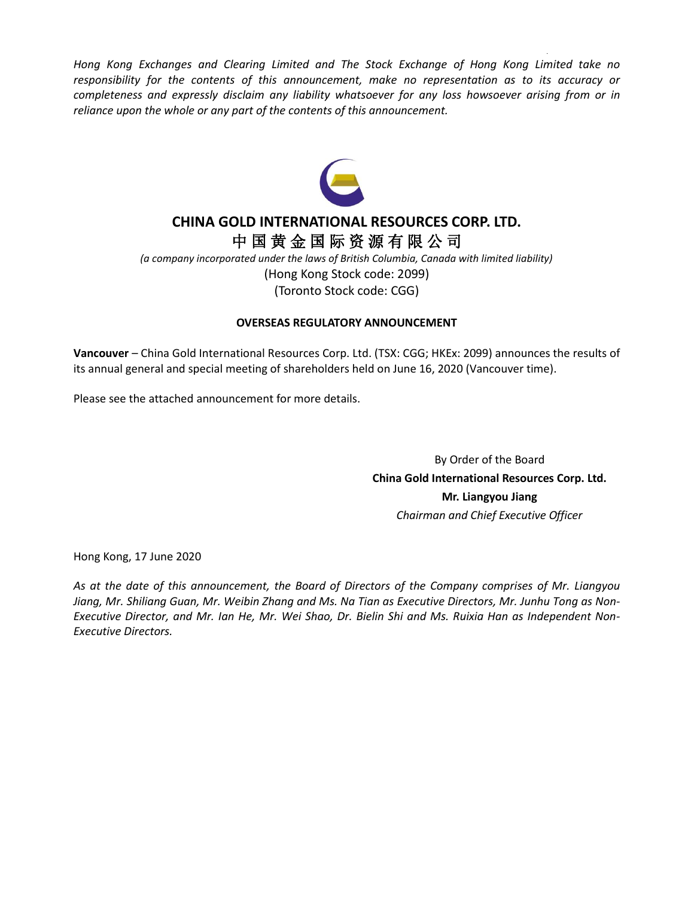*Hong Kong Exchanges and Clearing Limited and The Stock Exchange of Hong Kong Limited take no responsibility for the contents of this announcement, make no representation as to its accuracy or completeness and expressly disclaim any liability whatsoever for any loss howsoever arising from or in reliance upon the whole or any part of the contents of this announcement.*



### **CHINA GOLD INTERNATIONAL RESOURCES CORP. LTD.** 中 国 黄 金 国 际 资 源 有 限 公 司

*(a company incorporated under the laws of British Columbia, Canada with limited liability)* (Hong Kong Stock code: 2099) (Toronto Stock code: CGG)

### **OVERSEAS REGULATORY ANNOUNCEMENT**

**Vancouver** – China Gold International Resources Corp. Ltd. (TSX: CGG; HKEx: 2099) announces the results of its annual general and special meeting of shareholders held on June 16, 2020 (Vancouver time).

Please see the attached announcement for more details.

By Order of the Board **China Gold International Resources Corp. Ltd. Mr. Liangyou Jiang** *Chairman and Chief Executive Officer*

Hong Kong, 17 June 2020

*As at the date of this announcement, the Board of Directors of the Company comprises of Mr. Liangyou Jiang, Mr. Shiliang Guan, Mr. Weibin Zhang and Ms. Na Tian as Executive Directors, Mr. Junhu Tong as Non-Executive Director, and Mr. Ian He, Mr. Wei Shao, Dr. Bielin Shi and Ms. Ruixia Han as Independent Non-Executive Directors.*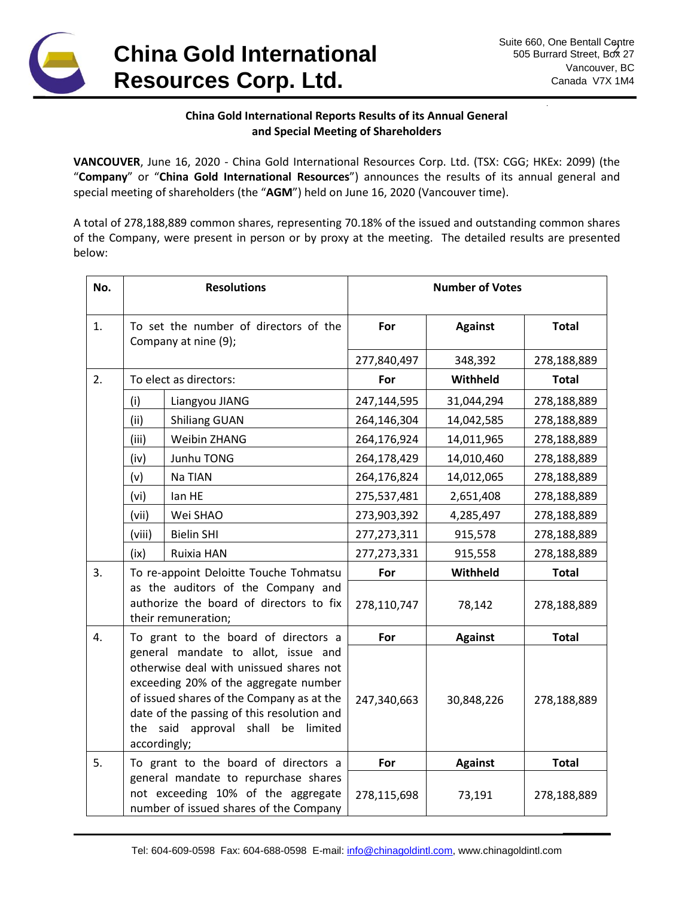

### **China Gold International Reports Results of its Annual General and Special Meeting of Shareholders**

**VANCOUVER**, June 16, 2020 - China Gold International Resources Corp. Ltd. (TSX: CGG; HKEx: 2099) (the "**Company**" or "**China Gold International Resources**") announces the results of its annual general and special meeting of shareholders (the "**AGM**") held on June 16, 2020 (Vancouver time).

A total of 278,188,889 common shares, representing 70.18% of the issued and outstanding common shares of the Company, were present in person or by proxy at the meeting. The detailed results are presented below:

| No. | <b>Resolutions</b>                                                                                   |                                                                                                                                                                                                                                                          | <b>Number of Votes</b> |                |              |
|-----|------------------------------------------------------------------------------------------------------|----------------------------------------------------------------------------------------------------------------------------------------------------------------------------------------------------------------------------------------------------------|------------------------|----------------|--------------|
| 1.  | To set the number of directors of the<br>Company at nine (9);                                        |                                                                                                                                                                                                                                                          | For                    | <b>Against</b> | <b>Total</b> |
|     |                                                                                                      |                                                                                                                                                                                                                                                          | 277,840,497            | 348,392        | 278,188,889  |
| 2.  | To elect as directors:                                                                               |                                                                                                                                                                                                                                                          | For                    | Withheld       | <b>Total</b> |
|     | (i)                                                                                                  | Liangyou JIANG                                                                                                                                                                                                                                           | 247,144,595            | 31,044,294     | 278,188,889  |
|     | (ii)                                                                                                 | <b>Shiliang GUAN</b>                                                                                                                                                                                                                                     | 264,146,304            | 14,042,585     | 278,188,889  |
|     | (iii)                                                                                                | Weibin ZHANG                                                                                                                                                                                                                                             | 264,176,924            | 14,011,965     | 278,188,889  |
|     | (iv)                                                                                                 | Junhu TONG                                                                                                                                                                                                                                               | 264,178,429            | 14,010,460     | 278,188,889  |
|     | (v)                                                                                                  | Na TIAN                                                                                                                                                                                                                                                  | 264,176,824            | 14,012,065     | 278,188,889  |
|     | (vi)                                                                                                 | lan HE                                                                                                                                                                                                                                                   | 275,537,481            | 2,651,408      | 278,188,889  |
|     | (vii)                                                                                                | Wei SHAO                                                                                                                                                                                                                                                 | 273,903,392            | 4,285,497      | 278,188,889  |
|     | (viii)                                                                                               | <b>Bielin SHI</b>                                                                                                                                                                                                                                        | 277, 273, 311          | 915,578        | 278,188,889  |
|     | (ix)                                                                                                 | Ruixia HAN                                                                                                                                                                                                                                               | 277,273,331            | 915,558        | 278,188,889  |
| 3.  | To re-appoint Deloitte Touche Tohmatsu                                                               |                                                                                                                                                                                                                                                          | For                    | Withheld       | <b>Total</b> |
|     | as the auditors of the Company and<br>authorize the board of directors to fix<br>their remuneration; |                                                                                                                                                                                                                                                          | 278,110,747            | 78,142         | 278,188,889  |
| 4.  | To grant to the board of directors a                                                                 |                                                                                                                                                                                                                                                          | For                    | <b>Against</b> | <b>Total</b> |
|     | accordingly;                                                                                         | general mandate to allot, issue and<br>otherwise deal with unissued shares not<br>exceeding 20% of the aggregate number<br>of issued shares of the Company as at the<br>date of the passing of this resolution and<br>the said approval shall be limited | 247,340,663            | 30,848,226     | 278,188,889  |
| 5.  | To grant to the board of directors a                                                                 |                                                                                                                                                                                                                                                          | For                    | <b>Against</b> | <b>Total</b> |
|     |                                                                                                      | general mandate to repurchase shares<br>not exceeding 10% of the aggregate<br>number of issued shares of the Company                                                                                                                                     | 278,115,698            | 73,191         | 278,188,889  |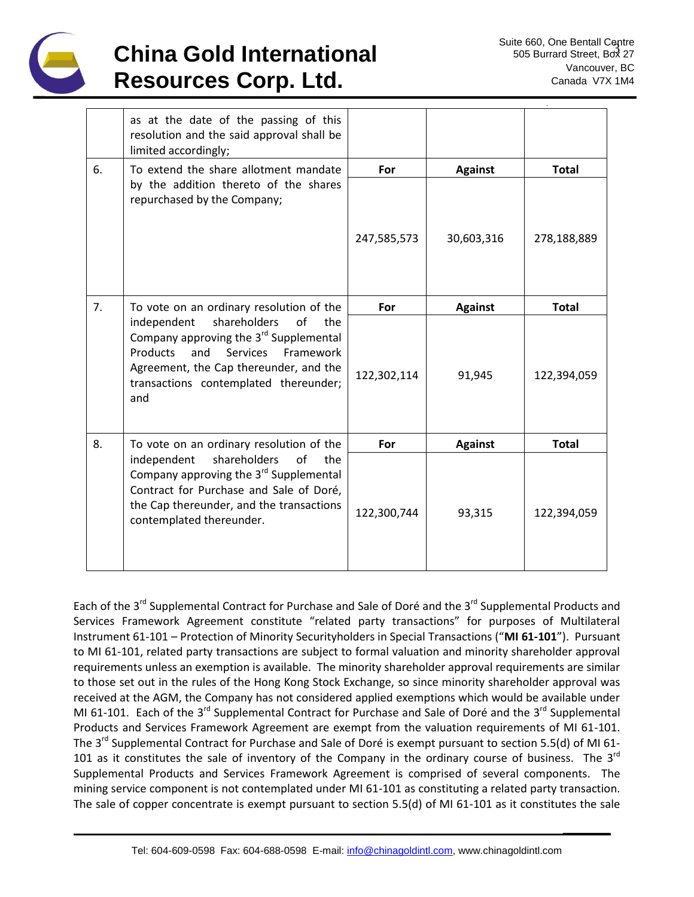

# **China Gold International Resources Corp. Ltd.**

**\_\_\_\_\_\_**

|    | as at the date of the passing of this<br>resolution and the said approval shall be<br>limited accordingly;                                                                                                                                         |             |                |              |
|----|----------------------------------------------------------------------------------------------------------------------------------------------------------------------------------------------------------------------------------------------------|-------------|----------------|--------------|
| 6. | To extend the share allotment mandate<br>by the addition thereto of the shares<br>repurchased by the Company;                                                                                                                                      | For         | <b>Against</b> | <b>Total</b> |
|    |                                                                                                                                                                                                                                                    | 247,585,573 | 30,603,316     | 278,188,889  |
| 7. | To vote on an ordinary resolution of the                                                                                                                                                                                                           | For         | <b>Against</b> | <b>Total</b> |
|    | shareholders<br>independent<br>of<br>the<br>Company approving the 3 <sup>rd</sup> Supplemental<br><b>Products</b><br>and<br><b>Services</b><br>Framework<br>Agreement, the Cap thereunder, and the<br>transactions contemplated thereunder;<br>and | 122,302,114 | 91,945         | 122,394,059  |
| 8. | To vote on an ordinary resolution of the                                                                                                                                                                                                           | For         | <b>Against</b> | <b>Total</b> |
|    | shareholders<br>independent<br>of<br>the<br>Company approving the 3 <sup>rd</sup> Supplemental<br>Contract for Purchase and Sale of Doré,<br>the Cap thereunder, and the transactions<br>contemplated thereunder.                                  | 122,300,744 | 93,315         | 122,394,059  |

Each of the 3<sup>rd</sup> Supplemental Contract for Purchase and Sale of Doré and the 3<sup>rd</sup> Supplemental Products and Services Framework Agreement constitute "related party transactions" for purposes of Multilateral Instrument 61-101 – Protection of Minority Securityholders in Special Transactions ("**MI 61-101**"). Pursuant to MI 61-101, related party transactions are subject to formal valuation and minority shareholder approval requirements unless an exemption is available. The minority shareholder approval requirements are similar to those set out in the rules of the Hong Kong Stock Exchange, so since minority shareholder approval was received at the AGM, the Company has not considered applied exemptions which would be available under MI 61-101. Each of the 3<sup>rd</sup> Supplemental Contract for Purchase and Sale of Doré and the 3<sup>rd</sup> Supplemental Products and Services Framework Agreement are exempt from the valuation requirements of MI 61-101. The 3<sup>rd</sup> Supplemental Contract for Purchase and Sale of Doré is exempt pursuant to section 5.5(d) of MI 61-101 as it constitutes the sale of inventory of the Company in the ordinary course of business. The 3 $^{rd}$ Supplemental Products and Services Framework Agreement is comprised of several components. The mining service component is not contemplated under MI 61-101 as constituting a related party transaction. The sale of copper concentrate is exempt pursuant to section 5.5(d) of MI 61-101 as it constitutes the sale